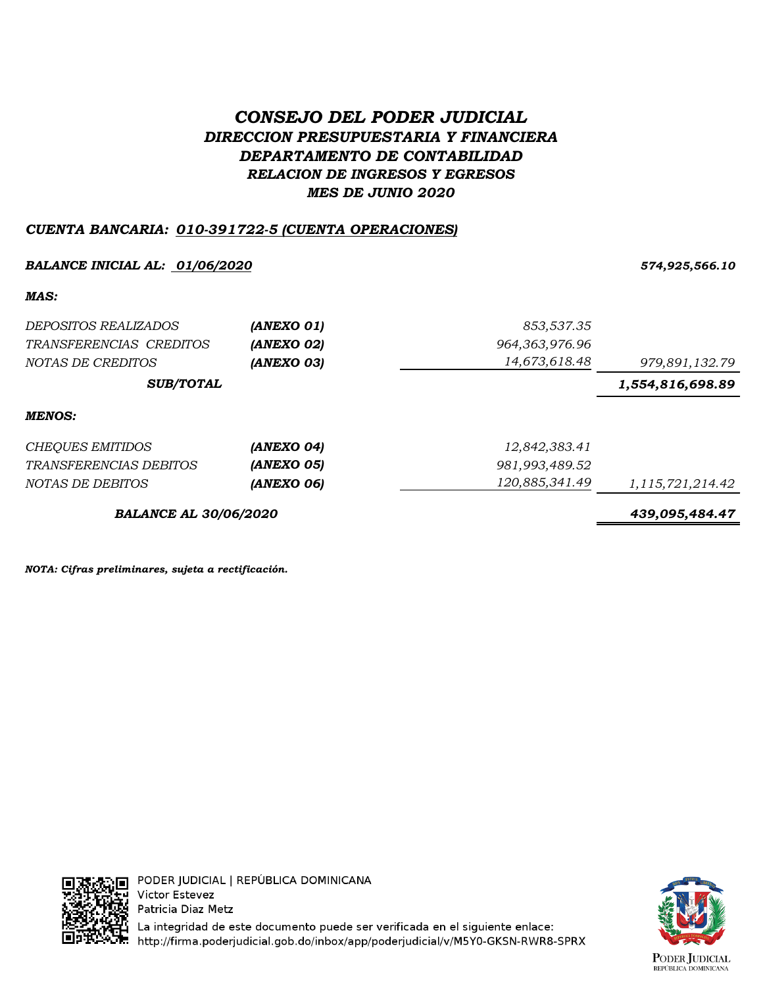# *CONSEJO DEL PODER JUDICIAL DIRECCION PRESUPUESTARIA Y FINANCIERA DEPARTAMENTO DE CONTABILIDAD RELACION DE INGRESOS Y EGRESOS MES DE JUNIO 2020*

## *CUENTA BANCARIA: 010-391722-5 (CUENTA OPERACIONES)*

### *BALANCE INICIAL AL: 01/06/2020 574,925,566.10*

*MAS:*

| DEPOSITOS REALIZADOS<br>TRANSFERENCIAS CREDITOS<br>NOTAS DE CREDITOS | (ANEXO 01)<br>(ANEXO 02)<br>(ANEXO 03) | 853,537.35<br>964, 363, 976. 96<br>14,673,618.48 | 979,891,132.79       |
|----------------------------------------------------------------------|----------------------------------------|--------------------------------------------------|----------------------|
| <b>SUB/TOTAL</b>                                                     |                                        |                                                  | 1,554,816,698.89     |
| MENOS:                                                               |                                        |                                                  |                      |
| CHEQUES EMITIDOS                                                     | (ANEXO 04)                             | 12,842,383.41                                    |                      |
| <i>TRANSFERENCIAS DEBITOS</i>                                        | (ANEXO 05)                             | 981,993,489.52                                   |                      |
| NOTAS DE DEBITOS                                                     | (ANEXO 06)                             | 120,885,341.49                                   | 1, 115, 721, 214. 42 |
| <b>BALANCE AL 30/06/2020</b>                                         |                                        |                                                  | 439,095,484.47       |

*NOTA: Cifras preliminares, sujeta a rectificación.*



La integridad de este documento puede ser verificada en el siguiente enlace: http://firma.poderjudicial.gob.do/inbox/app/poderjudicial/v/M5Y0-GKSN-RWR8-SPRX

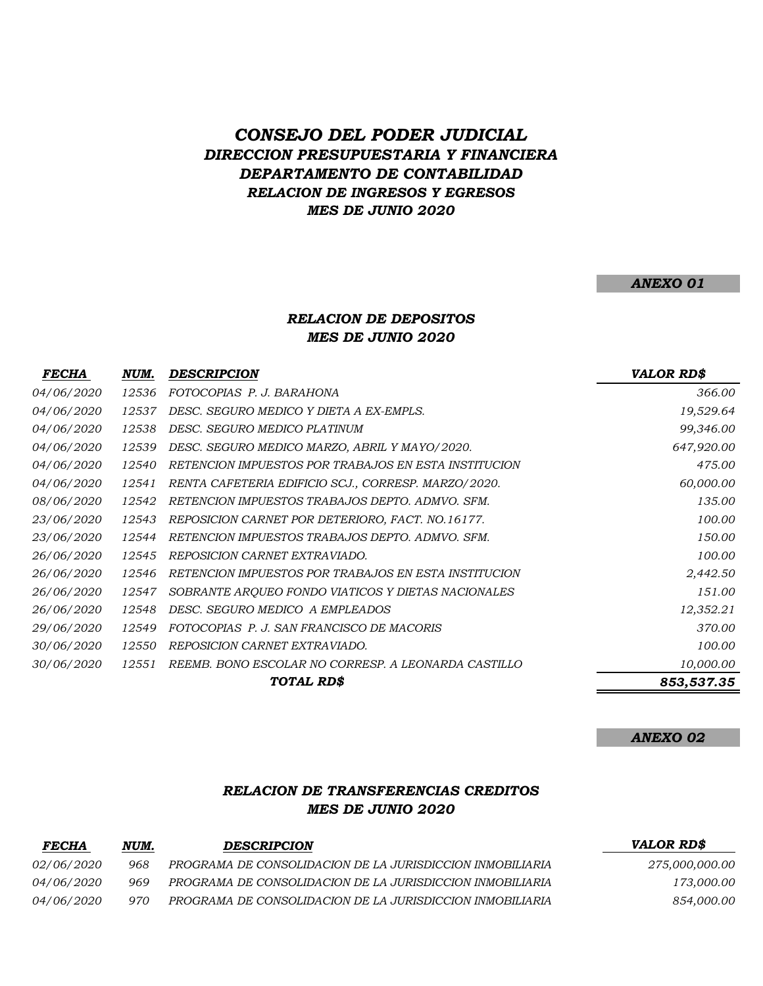# *CONSEJO DEL PODER JUDICIAL DIRECCION PRESUPUESTARIA Y FINANCIERA DEPARTAMENTO DE CONTABILIDAD RELACION DE INGRESOS Y EGRESOS MES DE JUNIO 2020*

#### *ANEXO 01*

#### *MES DE JUNIO 2020 RELACION DE DEPOSITOS*

| <i>FECHA</i>      | NUM.  | DESCRIPCION                                          | <b>VALOR RD\$</b> |
|-------------------|-------|------------------------------------------------------|-------------------|
| 04/06/2020        | 12536 | FOTOCOPIAS P. J. BARAHONA                            | 366.00            |
| 04/06/2020        | 12537 | DESC. SEGURO MEDICO Y DIETA A EX-EMPLS.              | 19,529.64         |
| 04/06/2020        | 12538 | DESC. SEGURO MEDICO PLATINUM                         | 99,346.00         |
| <i>04/06/2020</i> | 12539 | DESC. SEGURO MEDICO MARZO, ABRIL Y MAYO/2020.        | 647,920.00        |
| 04/06/2020        | 12540 | RETENCION IMPUESTOS POR TRABAJOS EN ESTA INSTITUCION | 475.00            |
| <i>04/06/2020</i> | 12541 | RENTA CAFETERIA EDIFICIO SCJ., CORRESP. MARZO/2020.  | 60,000.00         |
| 08/06/2020        | 12542 | RETENCION IMPUESTOS TRABAJOS DEPTO. ADMVO. SFM.      | 135.00            |
| 23/06/2020        | 12543 | REPOSICION CARNET POR DETERIORO, FACT. NO.16177.     | 100.00            |
| <i>23/06/2020</i> | 12544 | RETENCION IMPUESTOS TRABAJOS DEPTO. ADMVO. SFM.      | 150.00            |
| <i>26/06/2020</i> | 12545 | REPOSICION CARNET EXTRAVIADO.                        | 100.00            |
| 26/06/2020        | 12546 | RETENCION IMPUESTOS POR TRABAJOS EN ESTA INSTITUCION | 2,442.50          |
| 26/06/2020        | 12547 | SOBRANTE ARQUEO FONDO VIATICOS Y DIETAS NACIONALES   | 151.00            |
| <i>26/06/2020</i> | 12548 | DESC. SEGURO MEDICO A EMPLEADOS                      | 12,352.21         |
| 29/06/2020        | 12549 | FOTOCOPIAS P. J. SAN FRANCISCO DE MACORIS            | 370.00            |
| 30/06/2020        | 12550 | REPOSICION CARNET EXTRAVIADO.                        | 100.00            |
| <i>30/06/2020</i> | 12551 | REEMB. BONO ESCOLAR NO CORRESP. A LEONARDA CASTILLO  | 10,000.00         |
|                   |       | <b>TOTAL RDS</b>                                     | 853,537.35        |

#### *ANEXO 02*

### *RELACION DE TRANSFERENCIAS CREDITOS MES DE JUNIO 2020*

| <i>FECHA</i>      | NUM. | <b>DESCRIPCION</b>                                        | <b>VALOR RD\$</b> |
|-------------------|------|-----------------------------------------------------------|-------------------|
| <i>02/06/2020</i> | 968  | PROGRAMA DE CONSOLIDACION DE LA JURISDICCION INMOBILIARIA | 275,000,000.00    |
| <i>04/06/2020</i> | 969  | PROGRAMA DE CONSOLIDACION DE LA JURISDICCION INMOBILIARIA | 173,000.00        |
| <i>04/06/2020</i> | 970  | PROGRAMA DE CONSOLIDACION DE LA JURISDICCION INMOBILIARIA | 854,000.00        |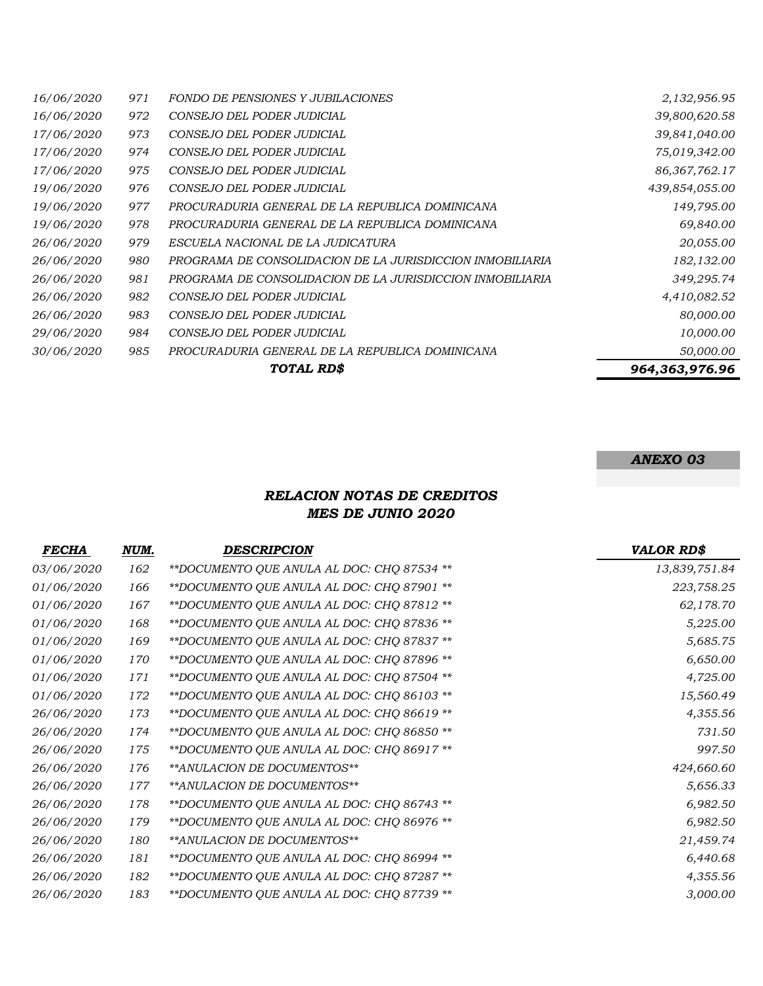|                   |     | TOTAL RD\$                                                | 964,363,976.96   |
|-------------------|-----|-----------------------------------------------------------|------------------|
| <i>30/06/2020</i> | 985 | PROCURADURIA GENERAL DE LA REPUBLICA DOMINICANA           | 50,000.00        |
| <i>29/06/2020</i> | 984 | CONSEJO DEL PODER JUDICIAL                                | 10,000.00        |
| 26/06/2020        | 983 | CONSEJO DEL PODER JUDICIAL                                | 80,000.00        |
| 26/06/2020        | 982 | CONSEJO DEL PODER JUDICIAL                                | 4,410,082.52     |
| 26/06/2020        | 981 | PROGRAMA DE CONSOLIDACION DE LA JURISDICCION INMOBILIARIA | 349,295.74       |
| 26/06/2020        | 980 | PROGRAMA DE CONSOLIDACION DE LA JURISDICCION INMOBILIARIA | 182,132.00       |
| 26/06/2020        | 979 | ESCUELA NACIONAL DE LA JUDICATURA                         | 20,055.00        |
| 19/06/2020        | 978 | PROCURADURIA GENERAL DE LA REPUBLICA DOMINICANA           | 69,840.00        |
| 19/06/2020        | 977 | PROCURADURIA GENERAL DE LA REPUBLICA DOMINICANA           | 149,795.00       |
| <i>19/06/2020</i> | 976 | CONSEJO DEL PODER JUDICIAL                                | 439,854,055.00   |
| <i>17/06/2020</i> | 975 | CONSEJO DEL PODER JUDICIAL                                | 86, 367, 762, 17 |
| <i>17/06/2020</i> | 974 | CONSEJO DEL PODER JUDICIAL                                | 75,019,342.00    |
| <i>17/06/2020</i> | 973 | CONSEJO DEL PODER JUDICIAL                                | 39,841,040.00    |
| 16/06/2020        | 972 | CONSEJO DEL PODER JUDICIAL                                | 39,800,620.58    |
| 16/06/2020        | 971 | FONDO DE PENSIONES Y JUBILACIONES                         | 2,132,956.95     |

### *ANEXO 03*

## *RELACION NOTAS DE CREDITOS MES DE JUNIO 2020*

| <b>FECHA</b> | NUM. | <b>DESCRIPCION</b>                         | <b>VALOR RD\$</b> |
|--------------|------|--------------------------------------------|-------------------|
| 03/06/2020   | 162  | **DOCUMENTO QUE ANULA AL DOC: CHQ 87534 ** | 13,839,751.84     |
| 01/06/2020   | 166  | **DOCUMENTO QUE ANULA AL DOC: CHQ 87901 ** | 223,758.25        |
| 01/06/2020   | 167  | **DOCUMENTO QUE ANULA AL DOC: CHQ 87812 ** | 62,178.70         |
| 01/06/2020   | 168  | **DOCUMENTO QUE ANULA AL DOC: CHQ 87836 ** | 5,225.00          |
| 01/06/2020   | 169  | **DOCUMENTO QUE ANULA AL DOC: CHQ 87837 ** | 5,685.75          |
| 01/06/2020   | 170  | **DOCUMENTO QUE ANULA AL DOC: CHQ 87896 ** | 6,650.00          |
| 01/06/2020   | 171  | **DOCUMENTO QUE ANULA AL DOC: CHQ 87504 ** | 4,725.00          |
| 01/06/2020   | 172  | **DOCUMENTO QUE ANULA AL DOC: CHQ 86103 ** | 15,560.49         |
| 26/06/2020   | 173  | **DOCUMENTO QUE ANULA AL DOC: CHQ 86619 ** | 4,355.56          |
| 26/06/2020   | 174  | **DOCUMENTO QUE ANULA AL DOC: CHQ 86850 ** | 731.50            |
| 26/06/2020   | 175  | **DOCUMENTO QUE ANULA AL DOC: CHQ 86917 ** | 997.50            |
| 26/06/2020   | 176  | **ANULACION DE DOCUMENTOS**                | 424,660.60        |
| 26/06/2020   | 177  | **ANULACION DE DOCUMENTOS**                | 5,656.33          |
| 26/06/2020   | 178  | **DOCUMENTO QUE ANULA AL DOC: CHQ 86743 ** | 6,982.50          |
| 26/06/2020   | 179  | **DOCUMENTO QUE ANULA AL DOC: CHQ 86976 ** | 6,982.50          |
| 26/06/2020   | 180  | **ANULACION DE DOCUMENTOS**                | 21,459.74         |
| 26/06/2020   | 181  | **DOCUMENTO QUE ANULA AL DOC: CHQ 86994 ** | 6,440.68          |
| 26/06/2020   | 182  | **DOCUMENTO QUE ANULA AL DOC: CHQ 87287 ** | 4,355.56          |
| 26/06/2020   | 183  | **DOCUMENTO QUE ANULA AL DOC: CHQ 87739 ** | 3,000.00          |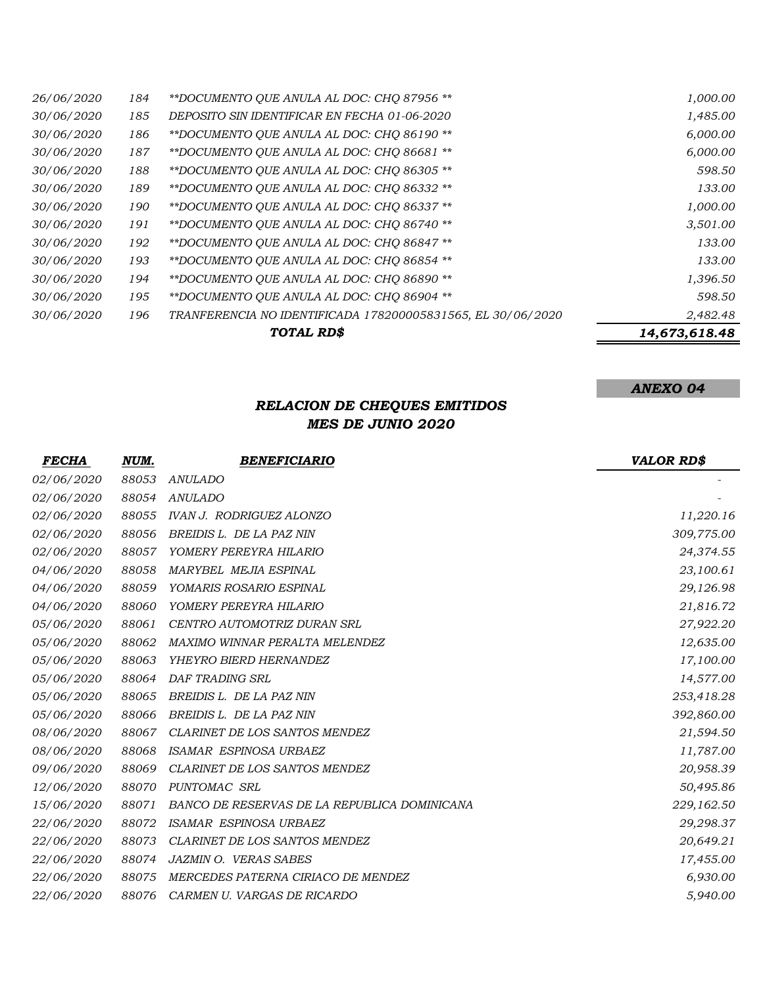|                   |     | TOTAL RD\$                                                  | 14,673,618.48 |
|-------------------|-----|-------------------------------------------------------------|---------------|
| 30/06/2020        | 196 | TRANFERENCIA NO IDENTIFICADA 178200005831565, EL 30/06/2020 | 2,482.48      |
| <i>30/06/2020</i> | 195 | **DOCUMENTO OUE ANULA AL DOC: CHO 86904 **                  | 598.50        |
| <i>30/06/2020</i> | 194 | **DOCUMENTO OUE ANULA AL DOC: CHO 86890 **                  | 1,396.50      |
| <i>30/06/2020</i> | 193 | **DOCUMENTO QUE ANULA AL DOC: CHQ 86854 **                  | 133.00        |
| <i>30/06/2020</i> | 192 | **DOCUMENTO QUE ANULA AL DOC: CHQ 86847 **                  | 133.00        |
| 30/06/2020        | 191 | **DOCUMENTO OUE ANULA AL DOC: CHO 86740 **                  | 3,501.00      |
| <i>30/06/2020</i> | 190 | **DOCUMENTO OUE ANULA AL DOC: CHO 86337 **                  | 1,000.00      |
| 30/06/2020        | 189 | **DOCUMENTO OUE ANULA AL DOC: CHO 86332 **                  | 133.00        |
| 30/06/2020        | 188 | **DOCUMENTO OUE ANULA AL DOC: CHO 86305 **                  | 598.50        |
| 30/06/2020        | 187 | **DOCUMENTO OUE ANULA AL DOC: CHO 86681 **                  | 6,000.00      |
| <i>30/06/2020</i> | 186 | **DOCUMENTO OUE ANULA AL DOC: CHO 86190 **                  | 6,000.00      |
| <i>30/06/2020</i> | 185 | DEPOSITO SIN IDENTIFICAR EN FECHA 01-06-2020                | 1,485.00      |
| 26/06/2020        | 184 | **DOCUMENTO QUE ANULA AL DOC: CHQ 87956 **                  | 1,000.00      |

### *RELACION DE CHEQUES EMITIDOS MES DE JUNIO 2020*

*ANEXO 04*

| <i>FECHA</i> | NUM.  | <b>BENEFICIARIO</b>                          | <b>VALOR RDS</b> |
|--------------|-------|----------------------------------------------|------------------|
| 02/06/2020   | 88053 | <b>ANULADO</b>                               |                  |
| 02/06/2020   | 88054 | <b>ANULADO</b>                               |                  |
| 02/06/2020   | 88055 | <b>IVAN J. RODRIGUEZ ALONZO</b>              | 11,220.16        |
| 02/06/2020   | 88056 | BREIDIS L. DE LA PAZ NIN                     | 309,775.00       |
| 02/06/2020   | 88057 | YOMERY PEREYRA HILARIO                       | 24,374.55        |
| 04/06/2020   | 88058 | MARYBEL MEJIA ESPINAL                        | 23,100.61        |
| 04/06/2020   | 88059 | YOMARIS ROSARIO ESPINAL                      | 29,126.98        |
| 04/06/2020   | 88060 | YOMERY PEREYRA HILARIO                       | 21,816.72        |
| 05/06/2020   | 88061 | CENTRO AUTOMOTRIZ DURAN SRL                  | 27,922.20        |
| 05/06/2020   | 88062 | MAXIMO WINNAR PERALTA MELENDEZ               | 12,635.00        |
| 05/06/2020   | 88063 | YHEYRO BIERD HERNANDEZ                       | 17,100.00        |
| 05/06/2020   | 88064 | DAF TRADING SRL                              | 14,577.00        |
| 05/06/2020   | 88065 | BREIDIS L. DE LA PAZ NIN                     | 253,418.28       |
| 05/06/2020   | 88066 | BREIDIS L. DE LA PAZ NIN                     | 392,860.00       |
| 08/06/2020   | 88067 | <b>CLARINET DE LOS SANTOS MENDEZ</b>         | 21,594.50        |
| 08/06/2020   | 88068 | ISAMAR ESPINOSA URBAEZ                       | 11,787.00        |
| 09/06/2020   | 88069 | CLARINET DE LOS SANTOS MENDEZ                | 20,958.39        |
| 12/06/2020   | 88070 | PUNTOMAC SRL                                 | 50,495.86        |
| 15/06/2020   | 88071 | BANCO DE RESERVAS DE LA REPUBLICA DOMINICANA | 229,162.50       |
| 22/06/2020   | 88072 | ISAMAR ESPINOSA URBAEZ                       | 29,298.37        |
| 22/06/2020   | 88073 | CLARINET DE LOS SANTOS MENDEZ                | 20,649.21        |
| 22/06/2020   | 88074 | <b>JAZMIN O. VERAS SABES</b>                 | 17,455.00        |
| 22/06/2020   | 88075 | MERCEDES PATERNA CIRIACO DE MENDEZ           | 6,930.00         |
| 22/06/2020   | 88076 | CARMEN U. VARGAS DE RICARDO                  | 5,940.00         |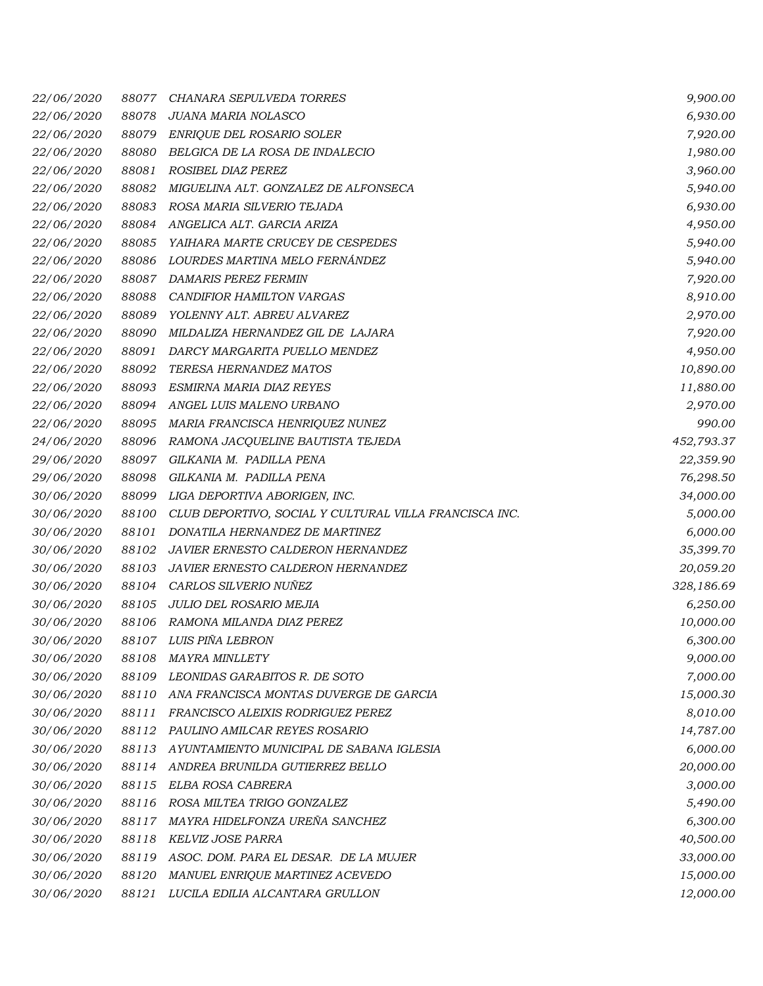| <i>22/06/2020</i> | 88077 | CHANARA SEPULVEDA TORRES                               | 9,900.00   |
|-------------------|-------|--------------------------------------------------------|------------|
| 22/06/2020        | 88078 | JUANA MARIA NOLASCO                                    | 6,930.00   |
| 22/06/2020        | 88079 | ENRIQUE DEL ROSARIO SOLER                              | 7,920.00   |
| 22/06/2020        | 88080 | BELGICA DE LA ROSA DE INDALECIO                        | 1,980.00   |
| 22/06/2020        | 88081 | ROSIBEL DIAZ PEREZ                                     | 3,960.00   |
| 22/06/2020        | 88082 | MIGUELINA ALT. GONZALEZ DE ALFONSECA                   | 5,940.00   |
| 22/06/2020        | 88083 | ROSA MARIA SILVERIO TEJADA                             | 6,930.00   |
| 22/06/2020        | 88084 | ANGELICA ALT. GARCIA ARIZA                             | 4,950.00   |
| 22/06/2020        | 88085 | YAIHARA MARTE CRUCEY DE CESPEDES                       | 5,940.00   |
| 22/06/2020        | 88086 | LOURDES MARTINA MELO FERNÁNDEZ                         | 5,940.00   |
| 22/06/2020        | 88087 | <b>DAMARIS PEREZ FERMIN</b>                            | 7,920.00   |
| 22/06/2020        | 88088 | CANDIFIOR HAMILTON VARGAS                              | 8,910.00   |
| 22/06/2020        | 88089 | YOLENNY ALT. ABREU ALVAREZ                             | 2,970.00   |
| <i>22/06/2020</i> | 88090 | MILDALIZA HERNANDEZ GIL DE LAJARA                      | 7,920.00   |
| 22/06/2020        | 88091 | DARCY MARGARITA PUELLO MENDEZ                          | 4,950.00   |
| 22/06/2020        | 88092 | TERESA HERNANDEZ MATOS                                 | 10,890.00  |
| 22/06/2020        | 88093 | ESMIRNA MARIA DIAZ REYES                               | 11,880.00  |
| 22/06/2020        | 88094 | ANGEL LUIS MALENO URBANO                               | 2,970.00   |
| 22/06/2020        | 88095 | MARIA FRANCISCA HENRIQUEZ NUNEZ                        | 990.00     |
| 24/06/2020        | 88096 | RAMONA JACQUELINE BAUTISTA TEJEDA                      | 452,793.37 |
| 29/06/2020        | 88097 | GILKANIA M. PADILLA PENA                               | 22,359.90  |
| 29/06/2020        | 88098 | GILKANIA M. PADILLA PENA                               | 76,298.50  |
| 30/06/2020        | 88099 | LIGA DEPORTIVA ABORIGEN, INC.                          | 34,000.00  |
| 30/06/2020        | 88100 | CLUB DEPORTIVO, SOCIAL Y CULTURAL VILLA FRANCISCA INC. | 5,000.00   |
| 30/06/2020        | 88101 | DONATILA HERNANDEZ DE MARTINEZ                         | 6,000.00   |
| 30/06/2020        | 88102 | JAVIER ERNESTO CALDERON HERNANDEZ                      | 35,399.70  |
| 30/06/2020        | 88103 | <b>JAVIER ERNESTO CALDERON HERNANDEZ</b>               | 20,059.20  |
| 30/06/2020        | 88104 | CARLOS SILVERIO NUÑEZ                                  | 328,186.69 |
| 30/06/2020        | 88105 | JULIO DEL ROSARIO MEJIA                                | 6,250.00   |
| 30/06/2020        | 88106 | RAMONA MILANDA DIAZ PEREZ                              | 10,000.00  |
| 30/06/2020        |       | 88107 LUIS PIÑA LEBRON                                 | 6,300.00   |
| 30/06/2020        | 88108 | MAYRA MINLLETY                                         | 9,000.00   |
| 30/06/2020        | 88109 | LEONIDAS GARABITOS R. DE SOTO                          | 7,000.00   |
| 30/06/2020        | 88110 | ANA FRANCISCA MONTAS DUVERGE DE GARCIA                 | 15,000.30  |
| 30/06/2020        | 88111 | FRANCISCO ALEIXIS RODRIGUEZ PEREZ                      | 8,010.00   |
| 30/06/2020        | 88112 | PAULINO AMILCAR REYES ROSARIO                          | 14,787.00  |
| 30/06/2020        | 88113 | AYUNTAMIENTO MUNICIPAL DE SABANA IGLESIA               | 6,000.00   |
| 30/06/2020        | 88114 | ANDREA BRUNILDA GUTIERREZ BELLO                        | 20,000.00  |
| 30/06/2020        | 88115 | ELBA ROSA CABRERA                                      | 3,000.00   |
| 30/06/2020        | 88116 | ROSA MILTEA TRIGO GONZALEZ                             | 5,490.00   |
| 30/06/2020        | 88117 | MAYRA HIDELFONZA UREÑA SANCHEZ                         | 6,300.00   |
| 30/06/2020        | 88118 | <b>KELVIZ JOSE PARRA</b>                               | 40,500.00  |
| 30/06/2020        | 88119 | ASOC. DOM. PARA EL DESAR. DE LA MUJER                  | 33,000.00  |
| 30/06/2020        | 88120 | MANUEL ENRIQUE MARTINEZ ACEVEDO                        | 15,000.00  |
| 30/06/2020        | 88121 | LUCILA EDILIA ALCANTARA GRULLON                        | 12,000.00  |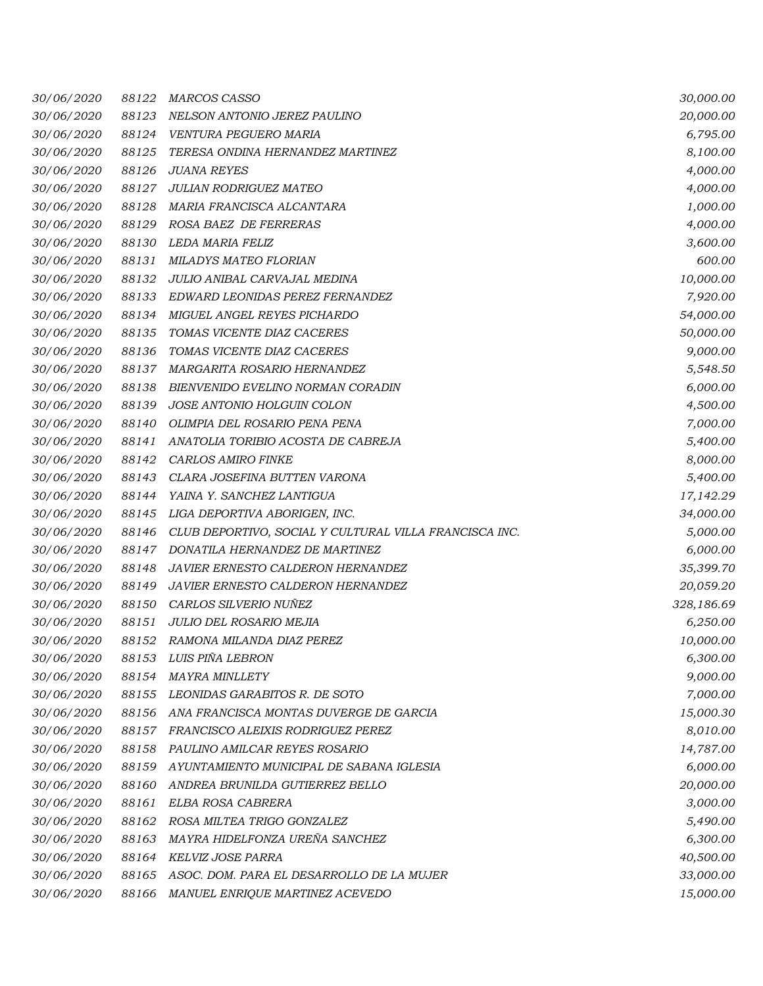| 30/06/2020 | 88122 | <b>MARCOS CASSO</b>                                    | 30,000.00  |
|------------|-------|--------------------------------------------------------|------------|
| 30/06/2020 | 88123 | NELSON ANTONIO JEREZ PAULINO                           | 20,000.00  |
| 30/06/2020 | 88124 | VENTURA PEGUERO MARIA                                  | 6,795.00   |
| 30/06/2020 | 88125 | TERESA ONDINA HERNANDEZ MARTINEZ                       | 8,100.00   |
| 30/06/2020 | 88126 | <b>JUANA REYES</b>                                     | 4,000.00   |
| 30/06/2020 | 88127 | JULIAN RODRIGUEZ MATEO                                 | 4,000.00   |
| 30/06/2020 | 88128 | MARIA FRANCISCA ALCANTARA                              | 1,000.00   |
| 30/06/2020 | 88129 | ROSA BAEZ DE FERRERAS                                  | 4,000.00   |
| 30/06/2020 | 88130 | <b>LEDA MARIA FELIZ</b>                                | 3,600.00   |
| 30/06/2020 | 88131 | MILADYS MATEO FLORIAN                                  | 600.00     |
| 30/06/2020 | 88132 | JULIO ANIBAL CARVAJAL MEDINA                           | 10,000.00  |
| 30/06/2020 | 88133 | EDWARD LEONIDAS PEREZ FERNANDEZ                        | 7,920.00   |
| 30/06/2020 | 88134 | MIGUEL ANGEL REYES PICHARDO                            | 54,000.00  |
| 30/06/2020 | 88135 | TOMAS VICENTE DIAZ CACERES                             | 50,000.00  |
| 30/06/2020 | 88136 | TOMAS VICENTE DIAZ CACERES                             | 9,000.00   |
| 30/06/2020 | 88137 | MARGARITA ROSARIO HERNANDEZ                            | 5,548.50   |
| 30/06/2020 | 88138 | BIENVENIDO EVELINO NORMAN CORADIN                      | 6,000.00   |
| 30/06/2020 | 88139 | JOSE ANTONIO HOLGUIN COLON                             | 4,500.00   |
| 30/06/2020 | 88140 | OLIMPIA DEL ROSARIO PENA PENA                          | 7,000.00   |
| 30/06/2020 | 88141 | ANATOLIA TORIBIO ACOSTA DE CABREJA                     | 5,400.00   |
| 30/06/2020 | 88142 | <b>CARLOS AMIRO FINKE</b>                              | 8,000.00   |
| 30/06/2020 | 88143 | CLARA JOSEFINA BUTTEN VARONA                           | 5,400.00   |
| 30/06/2020 | 88144 | YAINA Y. SANCHEZ LANTIGUA                              | 17,142.29  |
| 30/06/2020 | 88145 | LIGA DEPORTIVA ABORIGEN, INC.                          | 34,000.00  |
| 30/06/2020 | 88146 | CLUB DEPORTIVO, SOCIAL Y CULTURAL VILLA FRANCISCA INC. | 5,000.00   |
| 30/06/2020 | 88147 | DONATILA HERNANDEZ DE MARTINEZ                         | 6,000.00   |
| 30/06/2020 | 88148 | JAVIER ERNESTO CALDERON HERNANDEZ                      | 35,399.70  |
| 30/06/2020 | 88149 | JAVIER ERNESTO CALDERON HERNANDEZ                      | 20,059.20  |
| 30/06/2020 | 88150 | CARLOS SILVERIO NUÑEZ                                  | 328,186.69 |
| 30/06/2020 | 88151 | JULIO DEL ROSARIO MEJIA                                | 6,250.00   |
| 30/06/2020 | 88152 | RAMONA MILANDA DIAZ PEREZ                              | 10,000.00  |
| 30/06/2020 | 88153 | LUIS PIÑA LEBRON                                       | 6,300.00   |
| 30/06/2020 | 88154 | <b>MAYRA MINLLETY</b>                                  | 9,000.00   |
| 30/06/2020 | 88155 | LEONIDAS GARABITOS R. DE SOTO                          | 7,000.00   |
| 30/06/2020 | 88156 | ANA FRANCISCA MONTAS DUVERGE DE GARCIA                 | 15,000.30  |
| 30/06/2020 | 88157 | FRANCISCO ALEIXIS RODRIGUEZ PEREZ                      | 8,010.00   |
| 30/06/2020 | 88158 | PAULINO AMILCAR REYES ROSARIO                          | 14,787.00  |
| 30/06/2020 | 88159 | AYUNTAMIENTO MUNICIPAL DE SABANA IGLESIA               | 6,000.00   |
| 30/06/2020 | 88160 | ANDREA BRUNILDA GUTIERREZ BELLO                        | 20,000.00  |
| 30/06/2020 | 88161 | ELBA ROSA CABRERA                                      | 3,000.00   |
| 30/06/2020 | 88162 | ROSA MILTEA TRIGO GONZALEZ                             | 5,490.00   |
| 30/06/2020 | 88163 | MAYRA HIDELFONZA UREÑA SANCHEZ                         | 6,300.00   |
| 30/06/2020 | 88164 | KELVIZ JOSE PARRA                                      | 40,500.00  |
| 30/06/2020 | 88165 | ASOC. DOM. PARA EL DESARROLLO DE LA MUJER              | 33,000.00  |
| 30/06/2020 | 88166 | MANUEL ENRIQUE MARTINEZ ACEVEDO                        | 15,000.00  |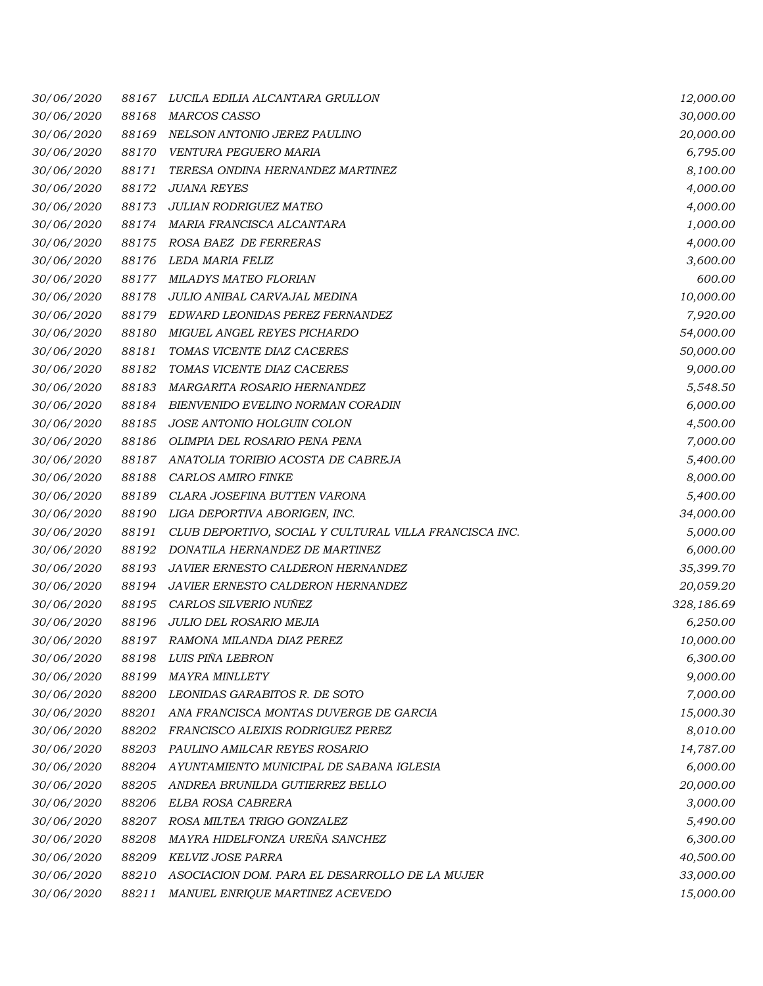| 30/06/2020 | 88167 | LUCILA EDILIA ALCANTARA GRULLON                        | 12,000.00  |
|------------|-------|--------------------------------------------------------|------------|
| 30/06/2020 | 88168 | MARCOS CASSO                                           | 30,000.00  |
| 30/06/2020 | 88169 | NELSON ANTONIO JEREZ PAULINO                           | 20,000.00  |
| 30/06/2020 | 88170 | VENTURA PEGUERO MARIA                                  | 6,795.00   |
| 30/06/2020 | 88171 | TERESA ONDINA HERNANDEZ MARTINEZ                       | 8,100.00   |
| 30/06/2020 | 88172 | <b>JUANA REYES</b>                                     | 4,000.00   |
| 30/06/2020 | 88173 | JULIAN RODRIGUEZ MATEO                                 | 4,000.00   |
| 30/06/2020 | 88174 | MARIA FRANCISCA ALCANTARA                              | 1,000.00   |
| 30/06/2020 | 88175 | ROSA BAEZ DE FERRERAS                                  | 4,000.00   |
| 30/06/2020 | 88176 | LEDA MARIA FELIZ                                       | 3,600.00   |
| 30/06/2020 | 88177 | MILADYS MATEO FLORIAN                                  | 600.00     |
| 30/06/2020 | 88178 | JULIO ANIBAL CARVAJAL MEDINA                           | 10,000.00  |
| 30/06/2020 | 88179 | EDWARD LEONIDAS PEREZ FERNANDEZ                        | 7,920.00   |
| 30/06/2020 | 88180 | MIGUEL ANGEL REYES PICHARDO                            | 54,000.00  |
| 30/06/2020 | 88181 | TOMAS VICENTE DIAZ CACERES                             | 50,000.00  |
| 30/06/2020 | 88182 | TOMAS VICENTE DIAZ CACERES                             | 9,000.00   |
| 30/06/2020 | 88183 | MARGARITA ROSARIO HERNANDEZ                            | 5,548.50   |
| 30/06/2020 | 88184 | BIENVENIDO EVELINO NORMAN CORADIN                      | 6,000.00   |
| 30/06/2020 | 88185 | JOSE ANTONIO HOLGUIN COLON                             | 4,500.00   |
| 30/06/2020 | 88186 | OLIMPIA DEL ROSARIO PENA PENA                          | 7,000.00   |
| 30/06/2020 | 88187 | ANATOLIA TORIBIO ACOSTA DE CABREJA                     | 5,400.00   |
| 30/06/2020 | 88188 | CARLOS AMIRO FINKE                                     | 8,000.00   |
| 30/06/2020 | 88189 | CLARA JOSEFINA BUTTEN VARONA                           | 5,400.00   |
| 30/06/2020 | 88190 | LIGA DEPORTIVA ABORIGEN, INC.                          | 34,000.00  |
| 30/06/2020 | 88191 | CLUB DEPORTIVO, SOCIAL Y CULTURAL VILLA FRANCISCA INC. | 5,000.00   |
| 30/06/2020 | 88192 | DONATILA HERNANDEZ DE MARTINEZ                         | 6,000.00   |
| 30/06/2020 | 88193 | JAVIER ERNESTO CALDERON HERNANDEZ                      | 35,399.70  |
| 30/06/2020 | 88194 | JAVIER ERNESTO CALDERON HERNANDEZ                      | 20,059.20  |
| 30/06/2020 | 88195 | CARLOS SILVERIO NUÑEZ                                  | 328,186.69 |
| 30/06/2020 | 88196 | JULIO DEL ROSARIO MEJIA                                | 6,250.00   |
| 30/06/2020 | 88197 | RAMONA MILANDA DIAZ PEREZ                              | 10,000.00  |
| 30/06/2020 | 88198 | LUIS PIÑA LEBRON                                       | 6,300.00   |
| 30/06/2020 | 88199 | <b>MAYRA MINLLETY</b>                                  | 9,000.00   |
| 30/06/2020 | 88200 | LEONIDAS GARABITOS R. DE SOTO                          | 7,000.00   |
| 30/06/2020 | 88201 | ANA FRANCISCA MONTAS DUVERGE DE GARCIA                 | 15,000.30  |
| 30/06/2020 | 88202 | FRANCISCO ALEIXIS RODRIGUEZ PEREZ                      | 8,010.00   |
| 30/06/2020 | 88203 | PAULINO AMILCAR REYES ROSARIO                          | 14,787.00  |
| 30/06/2020 | 88204 | AYUNTAMIENTO MUNICIPAL DE SABANA IGLESIA               | 6,000.00   |
| 30/06/2020 | 88205 | ANDREA BRUNILDA GUTIERREZ BELLO                        | 20,000.00  |
| 30/06/2020 | 88206 | ELBA ROSA CABRERA                                      | 3,000.00   |
| 30/06/2020 | 88207 | ROSA MILTEA TRIGO GONZALEZ                             | 5,490.00   |
| 30/06/2020 | 88208 | MAYRA HIDELFONZA UREÑA SANCHEZ                         | 6,300.00   |
| 30/06/2020 | 88209 | KELVIZ JOSE PARRA                                      | 40,500.00  |
| 30/06/2020 | 88210 | ASOCIACION DOM. PARA EL DESARROLLO DE LA MUJER         | 33,000.00  |
| 30/06/2020 | 88211 | MANUEL ENRIQUE MARTINEZ ACEVEDO                        | 15,000.00  |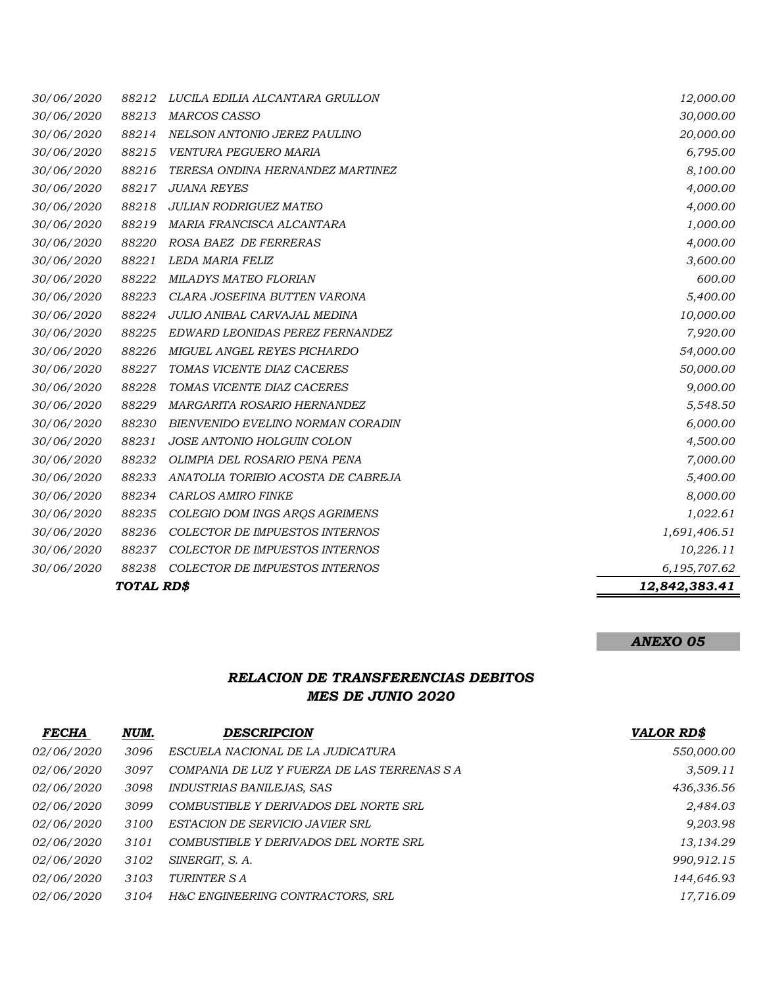|                   | TOTAL RD\$ |                                       | 12,842,383.41 |
|-------------------|------------|---------------------------------------|---------------|
| 30/06/2020        | 88238      | COLECTOR DE IMPUESTOS INTERNOS        | 6,195,707.62  |
| 30/06/2020        | 88237      | <b>COLECTOR DE IMPUESTOS INTERNOS</b> | 10,226.11     |
| 30/06/2020        | 88236      | <b>COLECTOR DE IMPUESTOS INTERNOS</b> | 1,691,406.51  |
| 30/06/2020        | 88235      | COLEGIO DOM INGS ARQS AGRIMENS        | 1,022.61      |
| 30/06/2020        | 88234      | <b>CARLOS AMIRO FINKE</b>             | 8,000.00      |
| 30/06/2020        | 88233      | ANATOLIA TORIBIO ACOSTA DE CABREJA    | 5,400.00      |
| 30/06/2020        | 88232      | OLIMPIA DEL ROSARIO PENA PENA         | 7,000.00      |
| 30/06/2020        | 88231      | JOSE ANTONIO HOLGUIN COLON            | 4,500.00      |
| 30/06/2020        | 88230      | BIENVENIDO EVELINO NORMAN CORADIN     | 6,000.00      |
| 30/06/2020        | 88229      | MARGARITA ROSARIO HERNANDEZ           | 5,548.50      |
| 30/06/2020        | 88228      | TOMAS VICENTE DIAZ CACERES            | 9,000.00      |
| 30/06/2020        | 88227      | TOMAS VICENTE DIAZ CACERES            | 50,000.00     |
| 30/06/2020        | 88226      | MIGUEL ANGEL REYES PICHARDO           | 54,000.00     |
| 30/06/2020        | 88225      | EDWARD LEONIDAS PEREZ FERNANDEZ       | 7,920.00      |
| 30/06/2020        | 88224      | JULIO ANIBAL CARVAJAL MEDINA          | 10,000.00     |
| 30/06/2020        | 88223      | CLARA JOSEFINA BUTTEN VARONA          | 5,400.00      |
| 30/06/2020        | 88222      | MILADYS MATEO FLORIAN                 | 600.00        |
| 30/06/2020        | 88221      | LEDA MARIA FELIZ                      | 3,600.00      |
| <i>30/06/2020</i> | 88220      | ROSA BAEZ DE FERRERAS                 | 4,000.00      |
| 30/06/2020        | 88219      | MARIA FRANCISCA ALCANTARA             | 1,000.00      |
| 30/06/2020        | 88218      | <b>JULIAN RODRIGUEZ MATEO</b>         | 4,000.00      |
| 30/06/2020        | 88217      | <b>JUANA REYES</b>                    | 4,000.00      |
| 30/06/2020        | 88216      | TERESA ONDINA HERNANDEZ MARTINEZ      | 8,100.00      |
| 30/06/2020        | 88215      | VENTURA PEGUERO MARIA                 | 6,795.00      |
| 30/06/2020        | 88214      | NELSON ANTONIO JEREZ PAULINO          | 20,000.00     |
| 30/06/2020        | 88213      | <b>MARCOS CASSO</b>                   | 30,000.00     |
| 30/06/2020        | 88212      | LUCILA EDILIA ALCANTARA GRULLON       | 12,000.00     |

## *ANEXO 05*

## *RELACION DE TRANSFERENCIAS DEBITOS MES DE JUNIO 2020*

| <b>FECHA</b>      | NUM. | <b>DESCRIPCION</b>                          | <b>VALOR RD\$</b> |
|-------------------|------|---------------------------------------------|-------------------|
| <i>02/06/2020</i> | 3096 | ESCUELA NACIONAL DE LA JUDICATURA           | 550,000.00        |
| <i>02/06/2020</i> | 3097 | COMPANIA DE LUZ Y FUERZA DE LAS TERRENAS SA | 3,509.11          |
| <i>02/06/2020</i> | 3098 | <i>INDUSTRIAS BANILEJAS, SAS</i>            | 436,336.56        |
| <i>02/06/2020</i> | 3099 | COMBUSTIBLE Y DERIVADOS DEL NORTE SRL       | 2,484.03          |
| <i>02/06/2020</i> | 3100 | ESTACION DE SERVICIO JAVIER SRL             | 9,203.98          |
| <i>02/06/2020</i> | 3101 | COMBUSTIBLE Y DERIVADOS DEL NORTE SRL       | 13,134.29         |
| <i>02/06/2020</i> | 3102 | SINERGIT, S.A.                              | 990,912.15        |
| <i>02/06/2020</i> | 3103 | TURINTER S A                                | 144,646.93        |
| <i>02/06/2020</i> | 3104 | H&C ENGINEERING CONTRACTORS, SRL            | 17,716.09         |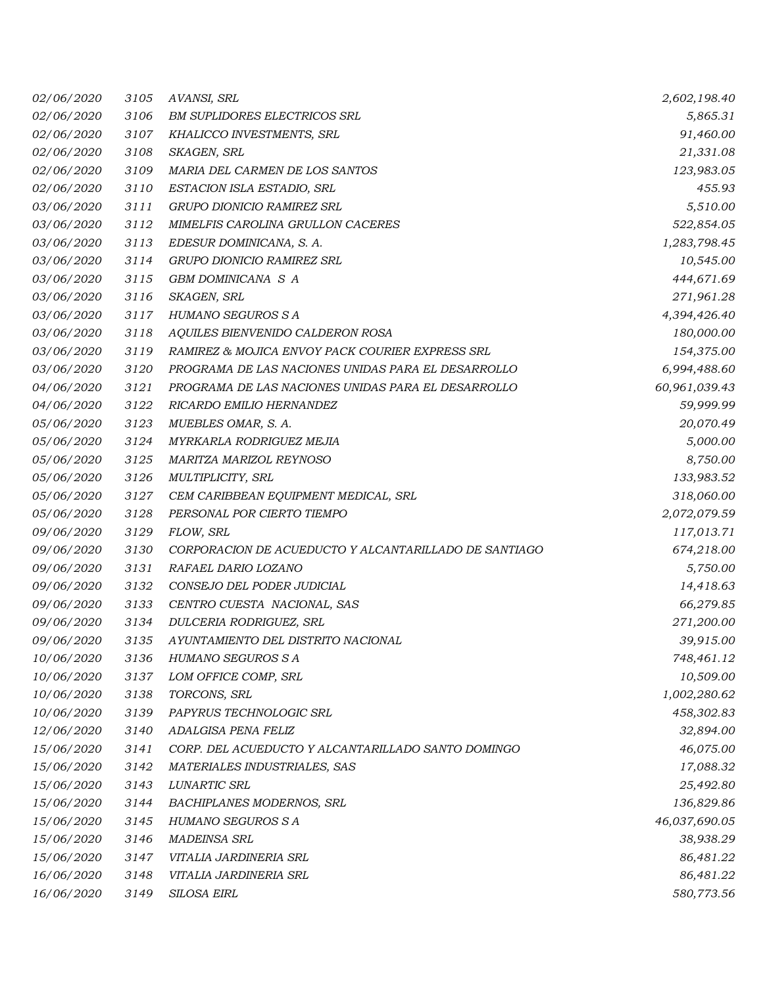| 02/06/2020 | 3105 | AVANSI, SRL                                           | 2,602,198.40  |
|------------|------|-------------------------------------------------------|---------------|
| 02/06/2020 | 3106 | <b>BM SUPLIDORES ELECTRICOS SRL</b>                   | 5,865.31      |
| 02/06/2020 | 3107 | KHALICCO INVESTMENTS, SRL                             | 91,460.00     |
| 02/06/2020 | 3108 | SKAGEN, SRL                                           | 21,331.08     |
| 02/06/2020 | 3109 | MARIA DEL CARMEN DE LOS SANTOS                        | 123,983.05    |
| 02/06/2020 | 3110 | ESTACION ISLA ESTADIO, SRL                            | 455.93        |
| 03/06/2020 | 3111 | GRUPO DIONICIO RAMIREZ SRL                            | 5,510.00      |
| 03/06/2020 | 3112 | MIMELFIS CAROLINA GRULLON CACERES                     | 522,854.05    |
| 03/06/2020 | 3113 | EDESUR DOMINICANA, S. A.                              | 1,283,798.45  |
| 03/06/2020 | 3114 | GRUPO DIONICIO RAMIREZ SRL                            | 10,545.00     |
| 03/06/2020 | 3115 | GBM DOMINICANA S A                                    | 444,671.69    |
| 03/06/2020 | 3116 | SKAGEN, SRL                                           | 271,961.28    |
| 03/06/2020 | 3117 | HUMANO SEGUROS S A                                    | 4,394,426.40  |
| 03/06/2020 | 3118 | AQUILES BIENVENIDO CALDERON ROSA                      | 180,000.00    |
| 03/06/2020 | 3119 | RAMIREZ & MOJICA ENVOY PACK COURIER EXPRESS SRL       | 154,375.00    |
| 03/06/2020 | 3120 | PROGRAMA DE LAS NACIONES UNIDAS PARA EL DESARROLLO    | 6,994,488.60  |
| 04/06/2020 | 3121 | PROGRAMA DE LAS NACIONES UNIDAS PARA EL DESARROLLO    | 60,961,039.43 |
| 04/06/2020 | 3122 | RICARDO EMILIO HERNANDEZ                              | 59,999.99     |
| 05/06/2020 | 3123 | MUEBLES OMAR, S. A.                                   | 20,070.49     |
| 05/06/2020 | 3124 | MYRKARLA RODRIGUEZ MEJIA                              | 5,000.00      |
| 05/06/2020 | 3125 | MARITZA MARIZOL REYNOSO                               | 8,750.00      |
| 05/06/2020 | 3126 | MULTIPLICITY, SRL                                     | 133,983.52    |
| 05/06/2020 | 3127 | CEM CARIBBEAN EQUIPMENT MEDICAL, SRL                  | 318,060.00    |
| 05/06/2020 | 3128 | PERSONAL POR CIERTO TIEMPO                            | 2,072,079.59  |
| 09/06/2020 | 3129 | FLOW, SRL                                             | 117,013.71    |
| 09/06/2020 | 3130 | CORPORACION DE ACUEDUCTO Y ALCANTARILLADO DE SANTIAGO | 674,218.00    |
| 09/06/2020 | 3131 | RAFAEL DARIO LOZANO                                   | 5,750.00      |
| 09/06/2020 | 3132 | CONSEJO DEL PODER JUDICIAL                            | 14,418.63     |
| 09/06/2020 | 3133 | CENTRO CUESTA NACIONAL, SAS                           | 66,279.85     |
| 09/06/2020 | 3134 | DULCERIA RODRIGUEZ, SRL                               | 271,200.00    |
| 09/06/2020 | 3135 | AYUNTAMIENTO DEL DISTRITO NACIONAL                    | 39,915.00     |
| 10/06/2020 | 3136 | HUMANO SEGUROS S A                                    | 748,461.12    |
| 10/06/2020 | 3137 | LOM OFFICE COMP, SRL                                  | 10,509.00     |
| 10/06/2020 | 3138 | TORCONS, SRL                                          | 1,002,280.62  |
| 10/06/2020 | 3139 | PAPYRUS TECHNOLOGIC SRL                               | 458,302.83    |
| 12/06/2020 | 3140 | ADALGISA PENA FELIZ                                   | 32,894.00     |
| 15/06/2020 | 3141 | CORP. DEL ACUEDUCTO Y ALCANTARILLADO SANTO DOMINGO    | 46,075.00     |
| 15/06/2020 | 3142 | MATERIALES INDUSTRIALES, SAS                          | 17,088.32     |
| 15/06/2020 | 3143 | LUNARTIC SRL                                          | 25,492.80     |
| 15/06/2020 | 3144 | BACHIPLANES MODERNOS, SRL                             | 136,829.86    |
| 15/06/2020 | 3145 | HUMANO SEGUROS S A                                    | 46,037,690.05 |
| 15/06/2020 | 3146 | <b>MADEINSA SRL</b>                                   | 38,938.29     |
| 15/06/2020 | 3147 | VITALIA JARDINERIA SRL                                | 86,481.22     |
| 16/06/2020 | 3148 | VITALIA JARDINERIA SRL                                | 86,481.22     |
| 16/06/2020 | 3149 | SILOSA EIRL                                           | 580,773.56    |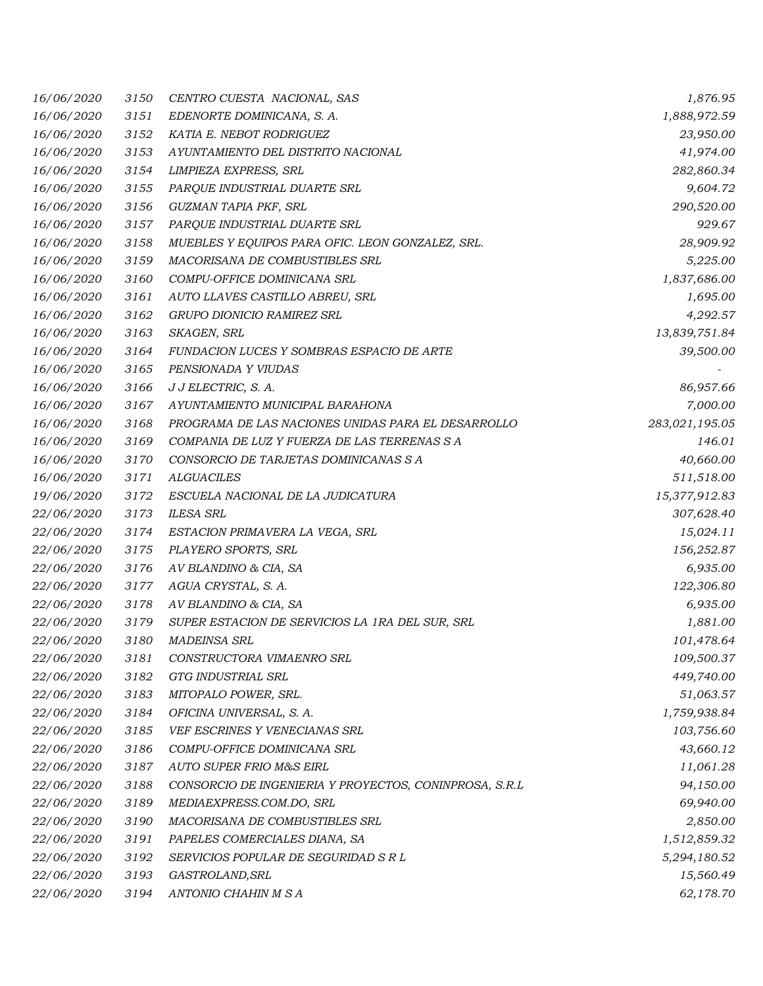| 16/06/2020 | 3150 | CENTRO CUESTA NACIONAL, SAS                            | 1,876.95       |
|------------|------|--------------------------------------------------------|----------------|
| 16/06/2020 | 3151 | EDENORTE DOMINICANA, S. A.                             | 1,888,972.59   |
| 16/06/2020 | 3152 | KATIA E. NEBOT RODRIGUEZ                               | 23,950.00      |
| 16/06/2020 | 3153 | AYUNTAMIENTO DEL DISTRITO NACIONAL                     | 41,974.00      |
| 16/06/2020 | 3154 | LIMPIEZA EXPRESS, SRL                                  | 282,860.34     |
| 16/06/2020 | 3155 | PARQUE INDUSTRIAL DUARTE SRL                           | 9,604.72       |
| 16/06/2020 | 3156 | GUZMAN TAPIA PKF, SRL                                  | 290,520.00     |
| 16/06/2020 | 3157 | PARQUE INDUSTRIAL DUARTE SRL                           | 929.67         |
| 16/06/2020 | 3158 | MUEBLES Y EQUIPOS PARA OFIC. LEON GONZALEZ, SRL.       | 28,909.92      |
| 16/06/2020 | 3159 | MACORISANA DE COMBUSTIBLES SRL                         | 5,225.00       |
| 16/06/2020 | 3160 | COMPU-OFFICE DOMINICANA SRL                            | 1,837,686.00   |
| 16/06/2020 | 3161 | AUTO LLAVES CASTILLO ABREU, SRL                        | 1,695.00       |
| 16/06/2020 | 3162 | GRUPO DIONICIO RAMIREZ SRL                             | 4,292.57       |
| 16/06/2020 | 3163 | SKAGEN, SRL                                            | 13,839,751.84  |
| 16/06/2020 | 3164 | FUNDACION LUCES Y SOMBRAS ESPACIO DE ARTE              | 39,500.00      |
| 16/06/2020 | 3165 | PENSIONADA Y VIUDAS                                    |                |
| 16/06/2020 | 3166 | J J ELECTRIC, S. A.                                    | 86,957.66      |
| 16/06/2020 | 3167 | AYUNTAMIENTO MUNICIPAL BARAHONA                        | 7,000.00       |
| 16/06/2020 | 3168 | PROGRAMA DE LAS NACIONES UNIDAS PARA EL DESARROLLO     | 283,021,195.05 |
| 16/06/2020 | 3169 | COMPANIA DE LUZ Y FUERZA DE LAS TERRENAS S A           | 146.01         |
| 16/06/2020 | 3170 | CONSORCIO DE TARJETAS DOMINICANAS S A                  | 40,660.00      |
| 16/06/2020 | 3171 | <b>ALGUACILES</b>                                      | 511,518.00     |
| 19/06/2020 | 3172 | ESCUELA NACIONAL DE LA JUDICATURA                      | 15,377,912.83  |
| 22/06/2020 | 3173 | <b>ILESA SRL</b>                                       | 307,628.40     |
| 22/06/2020 | 3174 | ESTACION PRIMAVERA LA VEGA, SRL                        | 15,024.11      |
| 22/06/2020 | 3175 | PLAYERO SPORTS, SRL                                    | 156,252.87     |
| 22/06/2020 | 3176 | AV BLANDINO & CIA, SA                                  | 6,935.00       |
| 22/06/2020 | 3177 | AGUA CRYSTAL, S. A.                                    | 122,306.80     |
| 22/06/2020 | 3178 | AV BLANDINO & CIA, SA                                  | 6,935.00       |
| 22/06/2020 | 3179 | SUPER ESTACION DE SERVICIOS LA 1RA DEL SUR, SRL        | 1,881.00       |
| 22/06/2020 | 3180 | <b>MADEINSA SRL</b>                                    | 101,478.64     |
| 22/06/2020 | 3181 | CONSTRUCTORA VIMAENRO SRL                              | 109,500.37     |
| 22/06/2020 | 3182 | GTG INDUSTRIAL SRL                                     | 449,740.00     |
| 22/06/2020 | 3183 | MITOPALO POWER, SRL.                                   | 51,063.57      |
| 22/06/2020 | 3184 | OFICINA UNIVERSAL, S. A.                               | 1,759,938.84   |
| 22/06/2020 | 3185 | VEF ESCRINES Y VENECIANAS SRL                          | 103,756.60     |
| 22/06/2020 | 3186 | COMPU-OFFICE DOMINICANA SRL                            | 43,660.12      |
| 22/06/2020 | 3187 | <b>AUTO SUPER FRIO M&amp;S EIRL</b>                    | 11,061.28      |
| 22/06/2020 | 3188 | CONSORCIO DE INGENIERIA Y PROYECTOS, CONINPROSA, S.R.L | 94,150.00      |
| 22/06/2020 | 3189 | MEDIAEXPRESS.COM.DO, SRL                               | 69,940.00      |
| 22/06/2020 | 3190 | MACORISANA DE COMBUSTIBLES SRL                         | 2,850.00       |
| 22/06/2020 | 3191 | PAPELES COMERCIALES DIANA, SA                          | 1,512,859.32   |
| 22/06/2020 | 3192 | SERVICIOS POPULAR DE SEGURIDAD S R L                   | 5,294,180.52   |
| 22/06/2020 | 3193 | GASTROLAND, SRL                                        | 15,560.49      |
| 22/06/2020 | 3194 | ANTONIO CHAHIN M S A                                   | 62,178.70      |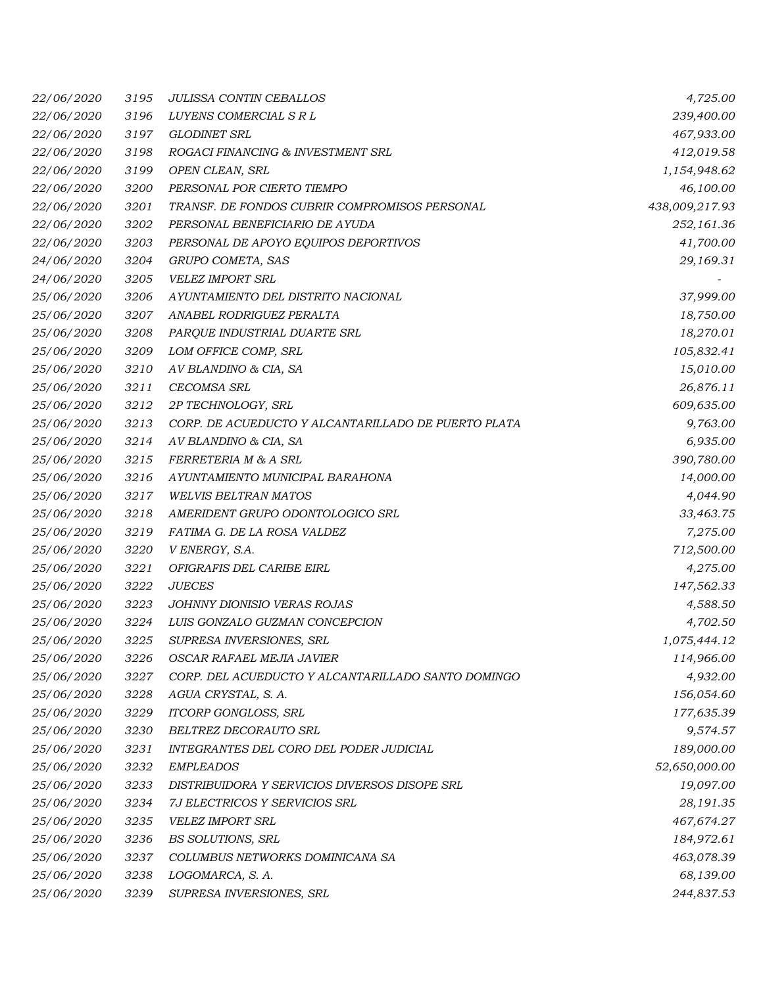| 22/06/2020 | 3195 | <b>JULISSA CONTIN CEBALLOS</b>                      | 4,725.00       |
|------------|------|-----------------------------------------------------|----------------|
| 22/06/2020 | 3196 | LUYENS COMERCIAL S R L                              | 239,400.00     |
| 22/06/2020 | 3197 | GLODINET SRL                                        | 467,933.00     |
| 22/06/2020 | 3198 | ROGACI FINANCING & INVESTMENT SRL                   | 412,019.58     |
| 22/06/2020 | 3199 | OPEN CLEAN, SRL                                     | 1,154,948.62   |
| 22/06/2020 | 3200 | PERSONAL POR CIERTO TIEMPO                          | 46,100.00      |
| 22/06/2020 | 3201 | TRANSF. DE FONDOS CUBRIR COMPROMISOS PERSONAL       | 438,009,217.93 |
| 22/06/2020 | 3202 | PERSONAL BENEFICIARIO DE AYUDA                      | 252,161.36     |
| 22/06/2020 | 3203 | PERSONAL DE APOYO EQUIPOS DEPORTIVOS                | 41,700.00      |
| 24/06/2020 | 3204 | GRUPO COMETA, SAS                                   | 29,169.31      |
| 24/06/2020 | 3205 | <b>VELEZ IMPORT SRL</b>                             |                |
| 25/06/2020 | 3206 | AYUNTAMIENTO DEL DISTRITO NACIONAL                  | 37,999.00      |
| 25/06/2020 | 3207 | ANABEL RODRIGUEZ PERALTA                            | 18,750.00      |
| 25/06/2020 | 3208 | PARQUE INDUSTRIAL DUARTE SRL                        | 18,270.01      |
| 25/06/2020 | 3209 | LOM OFFICE COMP, SRL                                | 105,832.41     |
| 25/06/2020 | 3210 | AV BLANDINO & CIA, SA                               | 15,010.00      |
| 25/06/2020 | 3211 | <b>CECOMSA SRL</b>                                  | 26,876.11      |
| 25/06/2020 | 3212 | 2P TECHNOLOGY, SRL                                  | 609,635.00     |
| 25/06/2020 | 3213 | CORP. DE ACUEDUCTO Y ALCANTARILLADO DE PUERTO PLATA | 9,763.00       |
| 25/06/2020 | 3214 | AV BLANDINO & CIA, SA                               | 6,935.00       |
| 25/06/2020 | 3215 | FERRETERIA M & A SRL                                | 390,780.00     |
| 25/06/2020 | 3216 | AYUNTAMIENTO MUNICIPAL BARAHONA                     | 14,000.00      |
| 25/06/2020 | 3217 | <b>WELVIS BELTRAN MATOS</b>                         | 4,044.90       |
| 25/06/2020 | 3218 | AMERIDENT GRUPO ODONTOLOGICO SRL                    | 33,463.75      |
| 25/06/2020 | 3219 | FATIMA G. DE LA ROSA VALDEZ                         | 7,275.00       |
| 25/06/2020 | 3220 | V ENERGY, S.A.                                      | 712,500.00     |
| 25/06/2020 | 3221 | OFIGRAFIS DEL CARIBE EIRL                           | 4,275.00       |
| 25/06/2020 | 3222 | <b>JUECES</b>                                       | 147,562.33     |
| 25/06/2020 | 3223 | <b>JOHNNY DIONISIO VERAS ROJAS</b>                  | 4,588.50       |
| 25/06/2020 | 3224 | LUIS GONZALO GUZMAN CONCEPCION                      | 4,702.50       |
| 25/06/2020 | 3225 | SUPRESA INVERSIONES, SRL                            | 1,075,444.12   |
| 25/06/2020 | 3226 | OSCAR RAFAEL MEJIA JAVIER                           | 114,966.00     |
| 25/06/2020 | 3227 | CORP. DEL ACUEDUCTO Y ALCANTARILLADO SANTO DOMINGO  | 4,932.00       |
| 25/06/2020 | 3228 | AGUA CRYSTAL, S. A.                                 | 156,054.60     |
| 25/06/2020 | 3229 | ITCORP GONGLOSS, SRL                                | 177,635.39     |
| 25/06/2020 | 3230 | BELTREZ DECORAUTO SRL                               | 9,574.57       |
| 25/06/2020 | 3231 | INTEGRANTES DEL CORO DEL PODER JUDICIAL             | 189,000.00     |
| 25/06/2020 | 3232 | <b>EMPLEADOS</b>                                    | 52,650,000.00  |
| 25/06/2020 | 3233 | DISTRIBUIDORA Y SERVICIOS DIVERSOS DISOPE SRL       | 19,097.00      |
| 25/06/2020 | 3234 | 7J ELECTRICOS Y SERVICIOS SRL                       | 28,191.35      |
| 25/06/2020 | 3235 | <b>VELEZ IMPORT SRL</b>                             | 467,674.27     |
| 25/06/2020 | 3236 | BS SOLUTIONS, SRL                                   | 184,972.61     |
| 25/06/2020 | 3237 | COLUMBUS NETWORKS DOMINICANA SA                     | 463,078.39     |
| 25/06/2020 | 3238 | LOGOMARCA, S. A.                                    | 68,139.00      |
| 25/06/2020 | 3239 | SUPRESA INVERSIONES, SRL                            | 244,837.53     |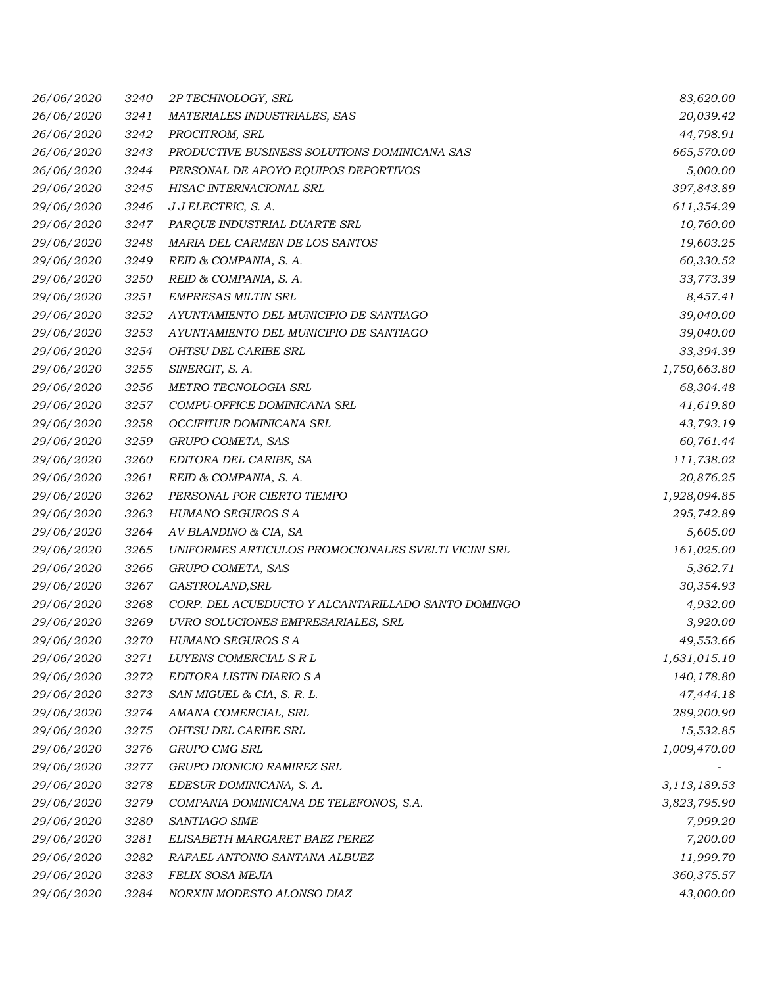| 26/06/2020 | 3240 | 2P TECHNOLOGY, SRL                                  | 83,620.00    |
|------------|------|-----------------------------------------------------|--------------|
| 26/06/2020 | 3241 | MATERIALES INDUSTRIALES, SAS                        | 20,039.42    |
| 26/06/2020 | 3242 | PROCITROM, SRL                                      | 44,798.91    |
| 26/06/2020 | 3243 | PRODUCTIVE BUSINESS SOLUTIONS DOMINICANA SAS        | 665,570.00   |
| 26/06/2020 | 3244 | PERSONAL DE APOYO EQUIPOS DEPORTIVOS                | 5,000.00     |
| 29/06/2020 | 3245 | HISAC INTERNACIONAL SRL                             | 397,843.89   |
| 29/06/2020 | 3246 | J J ELECTRIC, S. A.                                 | 611,354.29   |
| 29/06/2020 | 3247 | PARQUE INDUSTRIAL DUARTE SRL                        | 10,760.00    |
| 29/06/2020 | 3248 | MARIA DEL CARMEN DE LOS SANTOS                      | 19,603.25    |
| 29/06/2020 | 3249 | REID & COMPANIA, S. A.                              | 60,330.52    |
| 29/06/2020 | 3250 | REID & COMPANIA, S. A.                              | 33,773.39    |
| 29/06/2020 | 3251 | <b>EMPRESAS MILTIN SRL</b>                          | 8,457.41     |
| 29/06/2020 | 3252 | AYUNTAMIENTO DEL MUNICIPIO DE SANTIAGO              | 39,040.00    |
| 29/06/2020 | 3253 | AYUNTAMIENTO DEL MUNICIPIO DE SANTIAGO              | 39,040.00    |
| 29/06/2020 | 3254 | <b>OHTSU DEL CARIBE SRL</b>                         | 33,394.39    |
| 29/06/2020 | 3255 | SINERGIT, S. A.                                     | 1,750,663.80 |
| 29/06/2020 | 3256 | METRO TECNOLOGIA SRL                                | 68,304.48    |
| 29/06/2020 | 3257 | COMPU-OFFICE DOMINICANA SRL                         | 41,619.80    |
| 29/06/2020 | 3258 | OCCIFITUR DOMINICANA SRL                            | 43,793.19    |
| 29/06/2020 | 3259 | GRUPO COMETA, SAS                                   | 60,761.44    |
| 29/06/2020 | 3260 | EDITORA DEL CARIBE, SA                              | 111,738.02   |
| 29/06/2020 | 3261 | REID & COMPANIA, S. A.                              | 20,876.25    |
| 29/06/2020 | 3262 | PERSONAL POR CIERTO TIEMPO                          | 1,928,094.85 |
| 29/06/2020 | 3263 | HUMANO SEGUROS S A                                  | 295,742.89   |
| 29/06/2020 | 3264 | AV BLANDINO & CIA, SA                               | 5,605.00     |
| 29/06/2020 | 3265 | UNIFORMES ARTICULOS PROMOCIONALES SVELTI VICINI SRL | 161,025.00   |
| 29/06/2020 | 3266 | GRUPO COMETA, SAS                                   | 5,362.71     |
| 29/06/2020 | 3267 | GASTROLAND, SRL                                     | 30,354.93    |
| 29/06/2020 | 3268 | CORP. DEL ACUEDUCTO Y ALCANTARILLADO SANTO DOMINGO  | 4,932.00     |
| 29/06/2020 | 3269 | UVRO SOLUCIONES EMPRESARIALES, SRL                  | 3,920.00     |
| 29/06/2020 | 3270 | <b>HUMANO SEGUROS S A</b>                           | 49,553.66    |
| 29/06/2020 | 3271 | LUYENS COMERCIAL S R L                              | 1,631,015.10 |
| 29/06/2020 | 3272 | EDITORA LISTIN DIARIO S A                           | 140,178.80   |
| 29/06/2020 | 3273 | SAN MIGUEL & CIA, S. R. L.                          | 47,444.18    |
| 29/06/2020 | 3274 | AMANA COMERCIAL, SRL                                | 289,200.90   |
| 29/06/2020 | 3275 | OHTSU DEL CARIBE SRL                                | 15,532.85    |
| 29/06/2020 | 3276 | GRUPO CMG SRL                                       | 1,009,470.00 |
| 29/06/2020 | 3277 | GRUPO DIONICIO RAMIREZ SRL                          |              |
| 29/06/2020 | 3278 | EDESUR DOMINICANA, S. A.                            | 3,113,189.53 |
| 29/06/2020 | 3279 | COMPANIA DOMINICANA DE TELEFONOS, S.A.              | 3,823,795.90 |
| 29/06/2020 | 3280 | SANTIAGO SIME                                       | 7,999.20     |
| 29/06/2020 | 3281 | ELISABETH MARGARET BAEZ PEREZ                       | 7,200.00     |
| 29/06/2020 | 3282 | RAFAEL ANTONIO SANTANA ALBUEZ                       | 11,999.70    |
| 29/06/2020 | 3283 | FELIX SOSA MEJIA                                    | 360,375.57   |
| 29/06/2020 | 3284 | NORXIN MODESTO ALONSO DIAZ                          | 43,000.00    |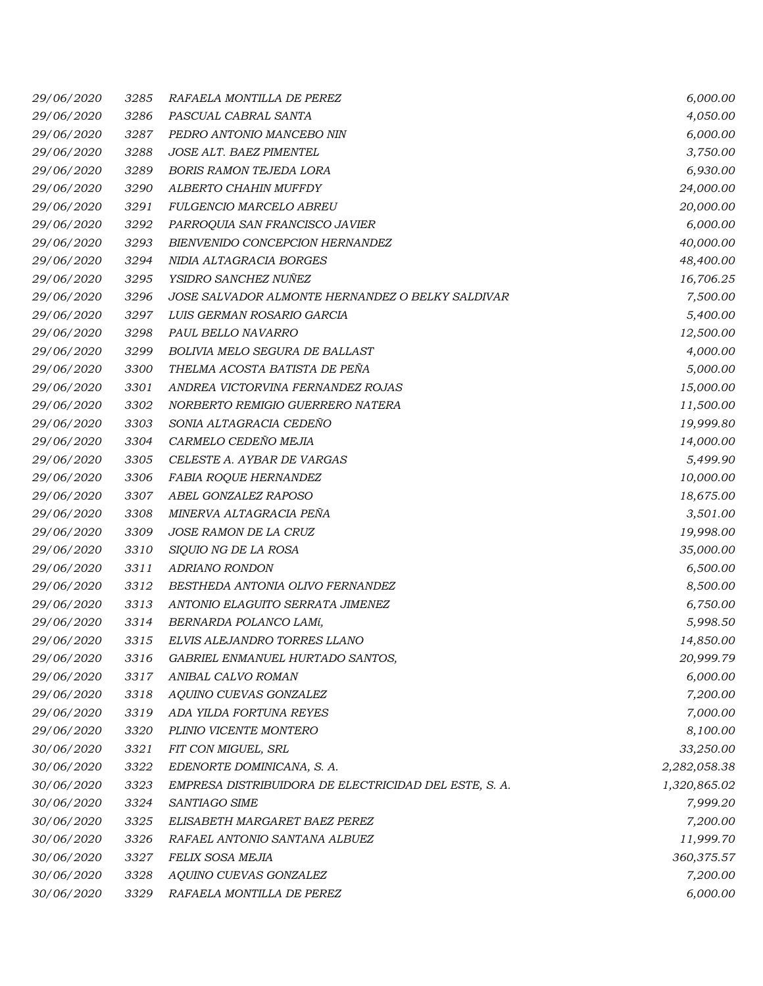| 29/06/2020 | 3285 | RAFAELA MONTILLA DE PEREZ                             | 6,000.00     |
|------------|------|-------------------------------------------------------|--------------|
| 29/06/2020 | 3286 | PASCUAL CABRAL SANTA                                  | 4,050.00     |
| 29/06/2020 | 3287 | PEDRO ANTONIO MANCEBO NIN                             | 6,000.00     |
| 29/06/2020 | 3288 | JOSE ALT. BAEZ PIMENTEL                               | 3,750.00     |
| 29/06/2020 | 3289 | <b>BORIS RAMON TEJEDA LORA</b>                        | 6,930.00     |
| 29/06/2020 | 3290 | ALBERTO CHAHIN MUFFDY                                 | 24,000.00    |
| 29/06/2020 | 3291 | FULGENCIO MARCELO ABREU                               | 20,000.00    |
| 29/06/2020 | 3292 | PARROQUIA SAN FRANCISCO JAVIER                        | 6,000.00     |
| 29/06/2020 | 3293 | BIENVENIDO CONCEPCION HERNANDEZ                       | 40,000.00    |
| 29/06/2020 | 3294 | NIDIA ALTAGRACIA BORGES                               | 48,400.00    |
| 29/06/2020 | 3295 | YSIDRO SANCHEZ NUÑEZ                                  | 16,706.25    |
| 29/06/2020 | 3296 | JOSE SALVADOR ALMONTE HERNANDEZ O BELKY SALDIVAR      | 7,500.00     |
| 29/06/2020 | 3297 | LUIS GERMAN ROSARIO GARCIA                            | 5,400.00     |
| 29/06/2020 | 3298 | PAUL BELLO NAVARRO                                    | 12,500.00    |
| 29/06/2020 | 3299 | <b>BOLIVIA MELO SEGURA DE BALLAST</b>                 | 4,000.00     |
| 29/06/2020 | 3300 | THELMA ACOSTA BATISTA DE PEÑA                         | 5,000.00     |
| 29/06/2020 | 3301 | ANDREA VICTORVINA FERNANDEZ ROJAS                     | 15,000.00    |
| 29/06/2020 | 3302 | NORBERTO REMIGIO GUERRERO NATERA                      | 11,500.00    |
| 29/06/2020 | 3303 | SONIA ALTAGRACIA CEDEÑO                               | 19,999.80    |
| 29/06/2020 | 3304 | CARMELO CEDEÑO MEJIA                                  | 14,000.00    |
| 29/06/2020 | 3305 | CELESTE A. AYBAR DE VARGAS                            | 5,499.90     |
| 29/06/2020 | 3306 | <b>FABIA ROQUE HERNANDEZ</b>                          | 10,000.00    |
| 29/06/2020 | 3307 | ABEL GONZALEZ RAPOSO                                  | 18,675.00    |
| 29/06/2020 | 3308 | MINERVA ALTAGRACIA PEÑA                               | 3,501.00     |
| 29/06/2020 | 3309 | <i>JOSE RAMON DE LA CRUZ</i>                          | 19,998.00    |
| 29/06/2020 | 3310 | SIQUIO NG DE LA ROSA                                  | 35,000.00    |
| 29/06/2020 | 3311 | ADRIANO RONDON                                        | 6,500.00     |
| 29/06/2020 | 3312 | BESTHEDA ANTONIA OLIVO FERNANDEZ                      | 8,500.00     |
| 29/06/2020 | 3313 | ANTONIO ELAGUITO SERRATA JIMENEZ                      | 6,750.00     |
| 29/06/2020 | 3314 | BERNARDA POLANCO LAMí,                                | 5,998.50     |
| 29/06/2020 | 3315 | ELVIS ALEJANDRO TORRES LLANO                          | 14,850.00    |
| 29/06/2020 | 3316 | GABRIEL ENMANUEL HURTADO SANTOS,                      | 20,999.79    |
| 29/06/2020 | 3317 | ANIBAL CALVO ROMAN                                    | 6,000.00     |
| 29/06/2020 | 3318 | AQUINO CUEVAS GONZALEZ                                | 7,200.00     |
| 29/06/2020 | 3319 | ADA YILDA FORTUNA REYES                               | 7,000.00     |
| 29/06/2020 | 3320 | PLINIO VICENTE MONTERO                                | 8,100.00     |
| 30/06/2020 | 3321 | FIT CON MIGUEL, SRL                                   | 33,250.00    |
| 30/06/2020 | 3322 | EDENORTE DOMINICANA, S. A.                            | 2,282,058.38 |
| 30/06/2020 | 3323 | EMPRESA DISTRIBUIDORA DE ELECTRICIDAD DEL ESTE, S. A. | 1,320,865.02 |
| 30/06/2020 | 3324 | SANTIAGO SIME                                         | 7,999.20     |
| 30/06/2020 | 3325 | ELISABETH MARGARET BAEZ PEREZ                         | 7,200.00     |
| 30/06/2020 | 3326 | RAFAEL ANTONIO SANTANA ALBUEZ                         | 11,999.70    |
| 30/06/2020 | 3327 | FELIX SOSA MEJIA                                      | 360,375.57   |
| 30/06/2020 | 3328 | AQUINO CUEVAS GONZALEZ                                | 7,200.00     |
| 30/06/2020 | 3329 | RAFAELA MONTILLA DE PEREZ                             | 6,000.00     |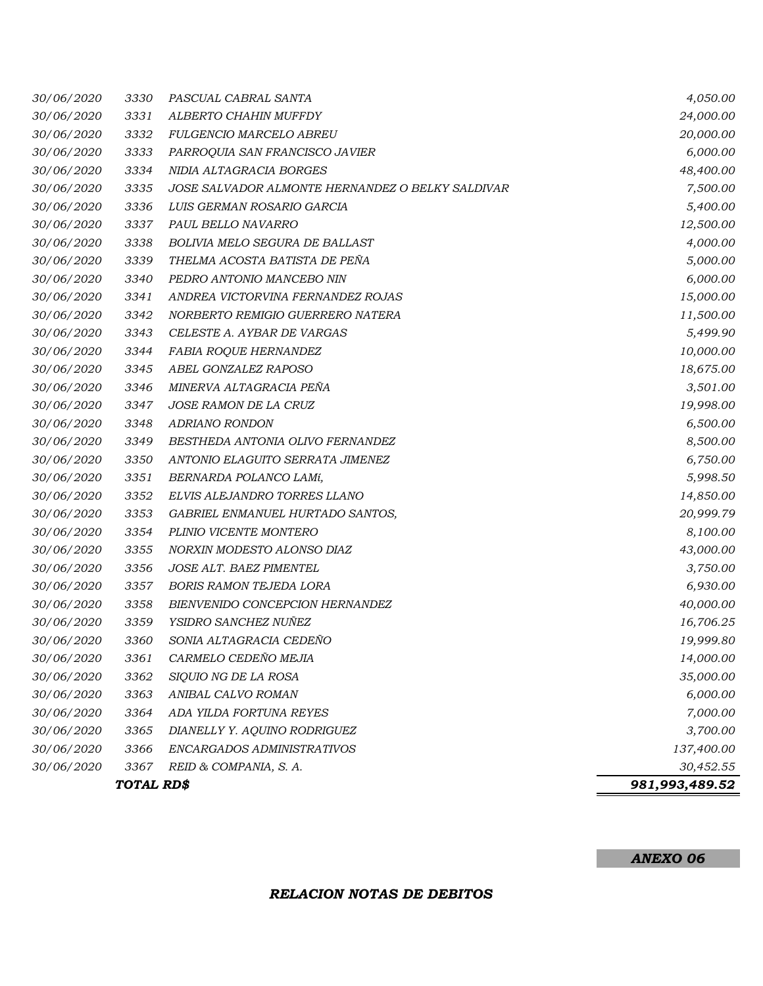# *30/06/2020 3330 PASCUAL CABRAL SANTA 4,050.00 30/06/2020 3331 ALBERTO CHAHIN MUFFDY 24,000.00 30/06/2020 3332 FULGENCIO MARCELO ABREU 20,000.00 30/06/2020 3333 PARROQUIA SAN FRANCISCO JAVIER 6,000.00 30/06/2020 3334 NIDIA ALTAGRACIA BORGES 48,400.00 30/06/2020 3335 JOSE SALVADOR ALMONTE HERNANDEZ O BELKY SALDIVAR 7,500.00 30/06/2020 3336 LUIS GERMAN ROSARIO GARCIA 5,400.00 30/06/2020 3337 PAUL BELLO NAVARRO 12,500.00 30/06/2020 3338 BOLIVIA MELO SEGURA DE BALLAST 4,000.00 30/06/2020 3339 THELMA ACOSTA BATISTA DE PEÑA 5,000.00 30/06/2020 3340 PEDRO ANTONIO MANCEBO NIN 6,000.00 30/06/2020 3341 ANDREA VICTORVINA FERNANDEZ ROJAS 15,000.00 30/06/2020 3342 NORBERTO REMIGIO GUERRERO NATERA 11,500.00 30/06/2020 3343 CELESTE A. AYBAR DE VARGAS 5,499.90 30/06/2020 3344 FABIA ROQUE HERNANDEZ 10,000.00 30/06/2020 3345 ABEL GONZALEZ RAPOSO 18,675.00 30/06/2020 3346 MINERVA ALTAGRACIA PEÑA 3,501.00 30/06/2020 3347 JOSE RAMON DE LA CRUZ 19,998.00 30/06/2020 3348 ADRIANO RONDON 6,500.00 30/06/2020 3349 BESTHEDA ANTONIA OLIVO FERNANDEZ 8,500.00 30/06/2020 3350 ANTONIO ELAGUITO SERRATA JIMENEZ 6,750.00 30/06/2020 3351 BERNARDA POLANCO LAMí, 5,998.50 30/06/2020 3352 ELVIS ALEJANDRO TORRES LLANO 14,850.00 30/06/2020 3353 GABRIEL ENMANUEL HURTADO SANTOS, 20,999.79 30/06/2020 3354 PLINIO VICENTE MONTERO 8,100.00 30/06/2020 3355 NORXIN MODESTO ALONSO DIAZ 43,000.00 30/06/2020 3356 JOSE ALT. BAEZ PIMENTEL 3,750.00 30/06/2020 3357 BORIS RAMON TEJEDA LORA 6,930.00 30/06/2020 3358 BIENVENIDO CONCEPCION HERNANDEZ 40,000.00 30/06/2020 3359 YSIDRO SANCHEZ NUÑEZ 16,706.25 30/06/2020 3360 SONIA ALTAGRACIA CEDEÑO 19,999.80 30/06/2020 3361 CARMELO CEDEÑO MEJIA 14,000.00 30/06/2020 3362 SIQUIO NG DE LA ROSA 35,000.00 30/06/2020 3363 ANIBAL CALVO ROMAN 6,000.00 30/06/2020 3364 ADA YILDA FORTUNA REYES 7,000.00 30/06/2020 3365 DIANELLY Y. AQUINO RODRIGUEZ 3,700.00 30/06/2020 3366 ENCARGADOS ADMINISTRATIVOS 137,400.00 30/06/2020 3367 REID & COMPANIA, S. A. 30,452.55 TOTAL RD\$ 981,993,489.52*

#### *ANEXO 06*

#### *RELACION NOTAS DE DEBITOS*